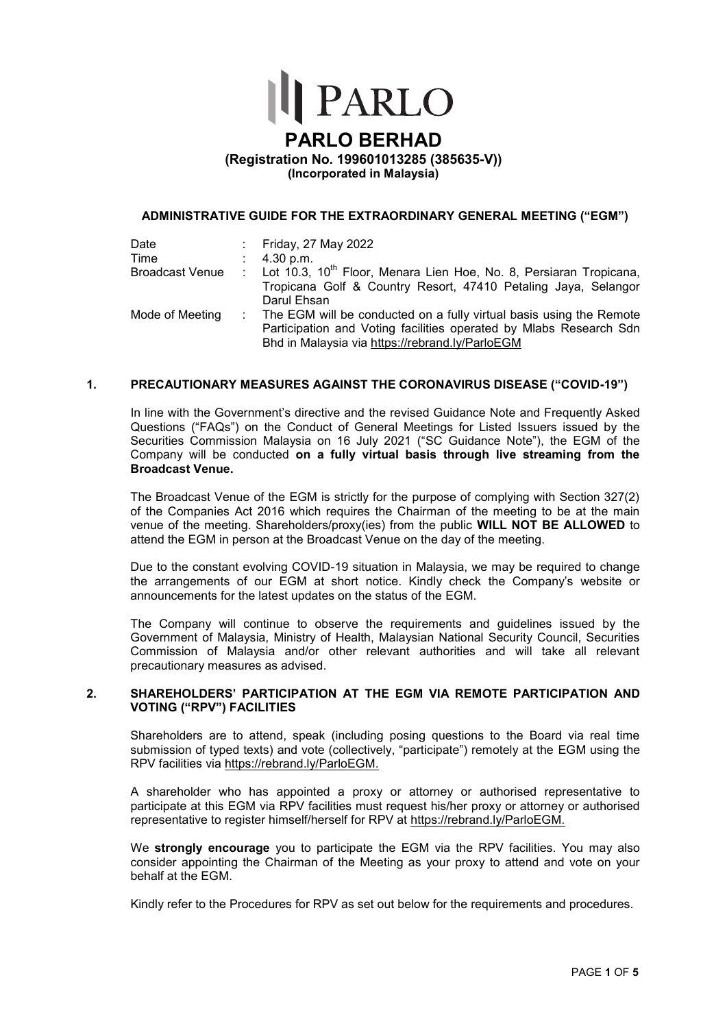

#### **PARLO BERHAD (Registration No. 199601013285 (385635-V)) (Incorporated in Malaysia) (Incorporated in Malaysia) (PARLO BERHAD**

#### **ADMINISTRATIVE GUIDE FOR THE EXTRAORDINARY GENERAL MEETING ("EGM")**

| Date<br>Time    | : Friday, 27 May 2022<br>: $4.30 \text{ p.m.}$                                                                                                                                                 |
|-----------------|------------------------------------------------------------------------------------------------------------------------------------------------------------------------------------------------|
| Broadcast Venue | : Lot 10.3, 10 <sup>th</sup> Floor, Menara Lien Hoe, No. 8, Persiaran Tropicana,<br>Tropicana Golf & Country Resort, 47410 Petaling Jaya, Selangor                                             |
|                 | Darul Ehsan                                                                                                                                                                                    |
| Mode of Meeting | : The EGM will be conducted on a fully virtual basis using the Remote<br>Participation and Voting facilities operated by Mlabs Research Sdn<br>Bhd in Malaysia via https://rebrand.ly/ParloEGM |

#### **1. PRECAUTIONARY MEASURES AGAINST THE CORONAVIRUS DISEASE ("COVID-19")**

In line with the Government's directive and the revised Guidance Note and Frequently Asked Questions ("FAQs") on the Conduct of General Meetings for Listed Issuers issued by the Securities Commission Malaysia on 16 July 2021 ("SC Guidance Note"), the EGM of the Company will be conducted on a fully virtual basis through live streaming from the **Broadcast Venue.**

The Broadcast Venue of the EGM is strictly for the purpose of complying with Section 327(2) of the Companies Act 2016 which requires the Chairman of the meeting to be at the main venue of the meeting. Shareholders/proxy(ies) from the public WILL NOT BE ALLOWED to attend the EGM in person at the Broadcast Venue on the day of the meeting.

Due to the constant evolving COVID-19 situation in Malaysia, we may be required to change the arrangements of our EGM at short notice. Kindly check the Company's website or announcements for the latest updates on the status of the EGM.

The Company will continue to observe the requirements and guidelines issued by the Government of Malaysia, Ministry of Health, Malaysian National Security Council, Securities Commission of Malaysia and/or other relevant authorities and will take all relevant precautionary measures as advised.

#### 2. SHAREHOLDERS' PARTICIPATION AT THE EGM VIA REMOTE PARTICIPATION AND **VOTING ("RPV") FACILITIES**

Shareholders are to attend, speak (including posing questions to the Board via real time submission of typed texts) and vote (collectively, "participate") remotely at the EGM using the RPV facilities via https://rebrand.ly/ParloEGM.

A shareholder who has appointed a proxy or attorney or authorised representative to participate at this EGM via RPV facilities must request his/her proxy or attorney or authorised representative to register himself/herself for RPV at https://rebrand.ly/ParloEGM. A shareholder who has appointed a proxy or attorney or authorised representative to participate at this EGM via RPV facilities must request his/her proxy or attorney or authorised representative to register himself/herself

consider appointing the Chairman of the Meeting as your proxy to attend and vote on your behalf at the EGM.

Kindly refer to the Procedures for RPV as set out below for the requirements and procedures.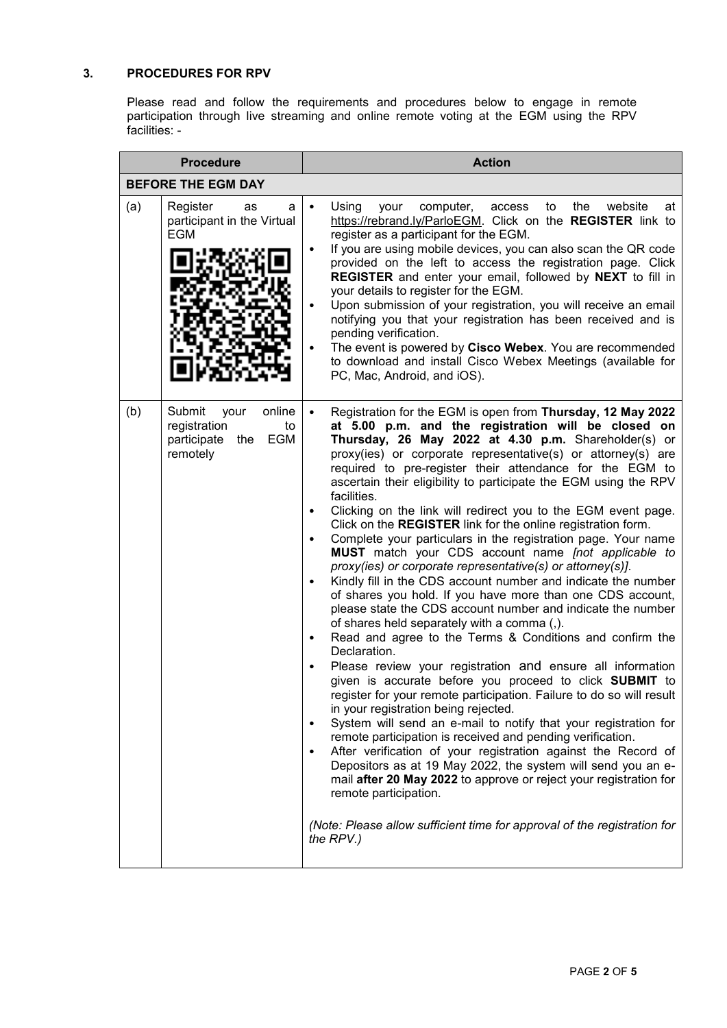# **3. PROCEDURES FOR RPV**  $\blacksquare$

Please read and follow the requirements and procedures below to engage in remote participation through live streaming and online remote voting at the EGM using the RPV facilities: - Please rea **Procedure Action**

| <b>Procedure</b>                                                                  | <b>Action</b>                                                                                                                                                                                                                                                                                                                                                                                                                                                                                                                                                                                                                                                                                                                                                                                                                                                                                                                                                                                                                                                                                                                                                                                                                                                                                                                                                                                                                                                                                                                                                                                                                                                                                                                                                                                   |  |  |  |  |  |  |  |
|-----------------------------------------------------------------------------------|-------------------------------------------------------------------------------------------------------------------------------------------------------------------------------------------------------------------------------------------------------------------------------------------------------------------------------------------------------------------------------------------------------------------------------------------------------------------------------------------------------------------------------------------------------------------------------------------------------------------------------------------------------------------------------------------------------------------------------------------------------------------------------------------------------------------------------------------------------------------------------------------------------------------------------------------------------------------------------------------------------------------------------------------------------------------------------------------------------------------------------------------------------------------------------------------------------------------------------------------------------------------------------------------------------------------------------------------------------------------------------------------------------------------------------------------------------------------------------------------------------------------------------------------------------------------------------------------------------------------------------------------------------------------------------------------------------------------------------------------------------------------------------------------------|--|--|--|--|--|--|--|
| <b>BEFORE THE EGM DAY</b>                                                         |                                                                                                                                                                                                                                                                                                                                                                                                                                                                                                                                                                                                                                                                                                                                                                                                                                                                                                                                                                                                                                                                                                                                                                                                                                                                                                                                                                                                                                                                                                                                                                                                                                                                                                                                                                                                 |  |  |  |  |  |  |  |
| (a)<br>Register<br>as<br>participant in the Virtual<br><b>EGM</b>                 | Using<br>the<br>website<br>your<br>computer,<br>access<br>to<br>at<br>а<br>$\bullet$<br>https://rebrand.ly/ParloEGM. Click on the REGISTER link to<br>register as a participant for the EGM.<br>If you are using mobile devices, you can also scan the QR code<br>$\bullet$<br>provided on the left to access the registration page. Click<br><b>REGISTER</b> and enter your email, followed by <b>NEXT</b> to fill in<br>your details to register for the EGM.<br>Upon submission of your registration, you will receive an email<br>notifying you that your registration has been received and is<br>pending verification.<br>The event is powered by Cisco Webex. You are recommended<br>to download and install Cisco Webex Meetings (available for<br>PC, Mac, Android, and iOS).                                                                                                                                                                                                                                                                                                                                                                                                                                                                                                                                                                                                                                                                                                                                                                                                                                                                                                                                                                                                          |  |  |  |  |  |  |  |
| (b)<br>Submit<br>online<br>your<br>registration<br>participate<br>the<br>remotely | Registration for the EGM is open from Thursday, 12 May 2022<br>at 5.00 p.m. and the registration will be closed on<br>to<br>Thursday, 26 May 2022 at 4.30 p.m. Shareholder(s) or<br>EGM<br>proxy(ies) or corporate representative(s) or attorney(s) are<br>required to pre-register their attendance for the EGM to<br>ascertain their eligibility to participate the EGM using the RPV<br>facilities.<br>Clicking on the link will redirect you to the EGM event page.<br>$\bullet$<br>Click on the REGISTER link for the online registration form.<br>Complete your particulars in the registration page. Your name<br>MUST match your CDS account name [not applicable to<br>proxy(ies) or corporate representative(s) or attorney(s)].<br>Kindly fill in the CDS account number and indicate the number<br>of shares you hold. If you have more than one CDS account,<br>please state the CDS account number and indicate the number<br>of shares held separately with a comma (,).<br>Read and agree to the Terms & Conditions and confirm the<br>$\bullet$<br>Declaration.<br>Please review your registration and ensure all information<br>given is accurate before you proceed to click SUBMIT to<br>register for your remote participation. Failure to do so will result<br>in your registration being rejected.<br>System will send an e-mail to notify that your registration for<br>remote participation is received and pending verification.<br>After verification of your registration against the Record of<br>$\bullet$<br>Depositors as at 19 May 2022, the system will send you an e-<br>mail after 20 May 2022 to approve or reject your registration for<br>remote participation.<br>(Note: Please allow sufficient time for approval of the registration for<br>the RPV.) |  |  |  |  |  |  |  |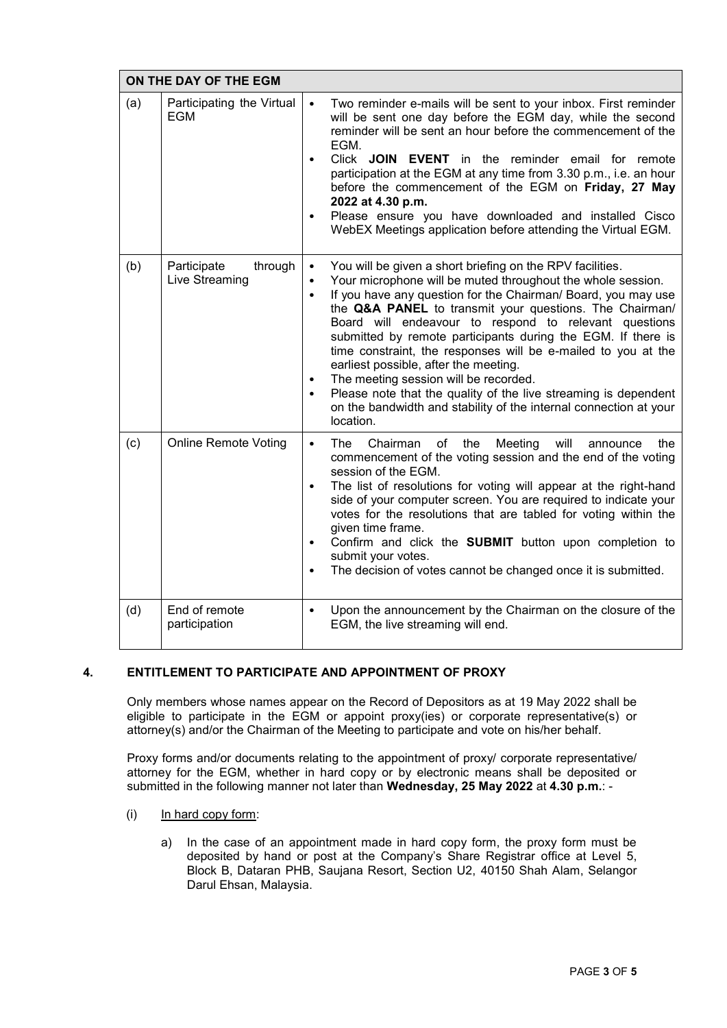| ON THE DAY OF THE EGM |                                          |                                                                                                                                                                                                                                                                                                                                                                                                                                                                                                                                                                                                                                                                                                                                           |  |  |  |
|-----------------------|------------------------------------------|-------------------------------------------------------------------------------------------------------------------------------------------------------------------------------------------------------------------------------------------------------------------------------------------------------------------------------------------------------------------------------------------------------------------------------------------------------------------------------------------------------------------------------------------------------------------------------------------------------------------------------------------------------------------------------------------------------------------------------------------|--|--|--|
| (a)                   | Participating the Virtual<br><b>EGM</b>  | Two reminder e-mails will be sent to your inbox. First reminder<br>$\bullet$<br>will be sent one day before the EGM day, while the second<br>reminder will be sent an hour before the commencement of the<br>EGM.<br>Click JOIN EVENT in the reminder email for remote<br>$\bullet$<br>participation at the EGM at any time from 3.30 p.m., i.e. an hour<br>before the commencement of the EGM on Friday, 27 May<br>2022 at 4.30 p.m.<br>Please ensure you have downloaded and installed Cisco<br>$\bullet$<br>WebEX Meetings application before attending the Virtual EGM.                                                                                                                                                               |  |  |  |
| (b)                   | Participate<br>through<br>Live Streaming | You will be given a short briefing on the RPV facilities.<br>$\bullet$<br>Your microphone will be muted throughout the whole session.<br>$\bullet$<br>If you have any question for the Chairman/ Board, you may use<br>$\bullet$<br>the Q&A PANEL to transmit your questions. The Chairman/<br>Board will endeavour to respond to relevant questions<br>submitted by remote participants during the EGM. If there is<br>time constraint, the responses will be e-mailed to you at the<br>earliest possible, after the meeting.<br>The meeting session will be recorded.<br>$\bullet$<br>Please note that the quality of the live streaming is dependent<br>on the bandwidth and stability of the internal connection at your<br>location. |  |  |  |
| (c)                   | <b>Online Remote Voting</b>              | The<br>Chairman of the<br>Meeting<br>will<br>the<br>$\bullet$<br>announce<br>commencement of the voting session and the end of the voting<br>session of the EGM.<br>The list of resolutions for voting will appear at the right-hand<br>$\bullet$<br>side of your computer screen. You are required to indicate your<br>votes for the resolutions that are tabled for voting within the<br>given time frame.<br>Confirm and click the SUBMIT button upon completion to<br>submit your votes.<br>The decision of votes cannot be changed once it is submitted.<br>$\bullet$                                                                                                                                                                |  |  |  |
| (d)                   | End of remote<br>participation           | Upon the announcement by the Chairman on the closure of the<br>$\bullet$<br>EGM, the live streaming will end.                                                                                                                                                                                                                                                                                                                                                                                                                                                                                                                                                                                                                             |  |  |  |

## **4. ENTITLEMENT TO PARTICIPATE AND APPOINTMENT OF PROXY**

Only members whose names appear on the Record of Depositors as at 19 May 2022 shall be eligible to participate in the EGM or appoint proxy(ies) or corporate representative(s) or eligible to participate in the EGM or appoint proxy(ies) or corporate representative(s) or attorney(s) and/or the Chairman of the Meeting to participate and vote on his/her behalf.

Proxy forms and/or documents relating to the appointment of proxy/ corporate representative/ attorney for the EGM, whether in hard copy or by electronic means shall be deposited or submitted in the following manner not later than **Wednesday, 25 May 2022** at **4.30 p.m.**: -

- (i) In hard copy form:  $\frac{1}{2}$  In the case of an approximation matrix  $\frac{1}{2}$  for proxy form, the proxy form, the proxy form must be proxy form must be proxy for must be proxy for must be proxy for must be proxy for must be proxy for must b
	- a) In the case of an appointment made in hard copy form, the proxy form must be In the case of an appointment made in hard copy form, the proxy form made be<br>deposited by hand or post at the Company's Share Registrar office at Level 5, aspecieda by hand of poor at the company's chare regional onles at Ecro, e, Darul Ehsan, Malaysia.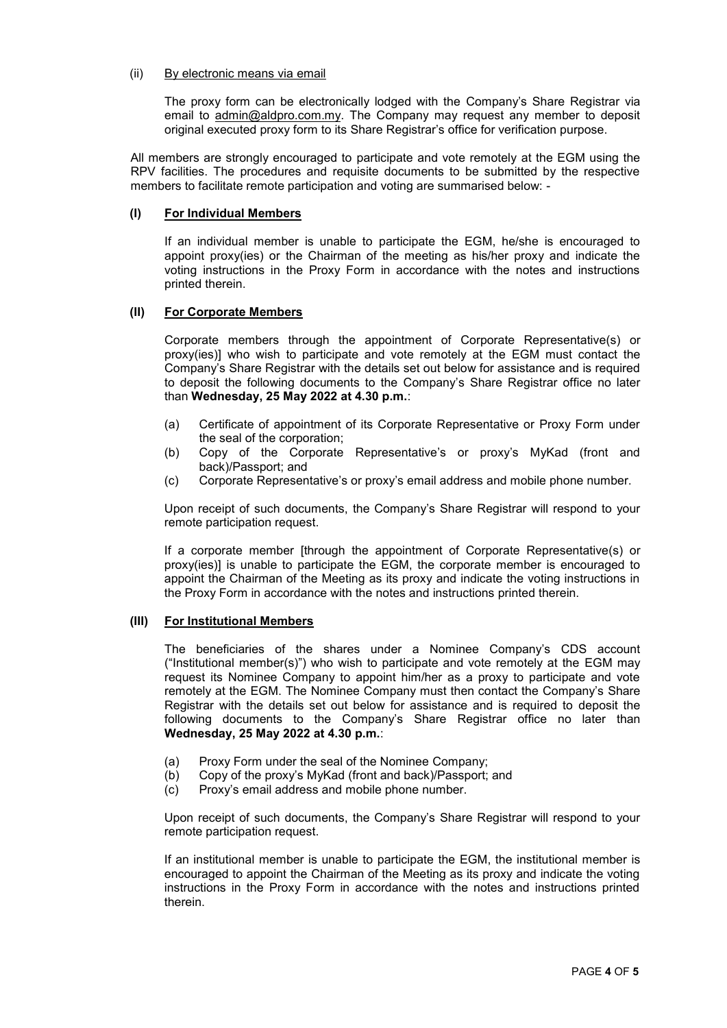#### (ii) By electronic means via email The proxy form can be electronically lodged with the Company's Share Registrar via

The proxy form can be electronically lodged with the Company's Share Registrar via email to admin@aldpro.com.my. The Company may request any member to deposit original executed proxy form to its Share Registrar's office for verification purpose.

All members are strongly encouraged to participate and vote remotely at the EGM using the RPV facilities. The procedures and requisite documents to be submitted by the respective members to facilitate remote participation and voting are summarised below: -

## **(I) For Individual Members**

If an individual member is unable to participate the EGM, he/she is encouraged to appoint proxy(ies) or the Chairman of the meeting as his/her proxy and indicate the voting instructions in the Proxy Form in accordance with the notes and instructions printed therein.

## **(II) For Corporate Members**

Corporate members through the appointment of Corporate Representative(s) or proxy(ies)] who wish to participate and vote remotely at the EGM must contact the Company's Share Registrar with the details set out below for assistance and is required to deposit the following documents to the Company's Share Registrar office no later than **Wednesday, 25 May 2022 at 4.30 p.m.**:

- (a) Certificate of appointment of its Corporate Representative or Proxy Form under the seal of the corporation; expression of the Copy of the Copy of the Copy of the Copy of the Copy of the Copy of the Copy of the Copy of the Copy of the Copy of the Copy of the Copy of the Copy of the Copy of the Copy of
- (b) Copy of the Corporate Representative's or proxy's MyKad (front and  $\mathsf{back})\mathsf{/Passport}$ ; and mobile phone number. Corporate phone number and mobile phone number. The phone number of  $\mathsf{C}$
- (c) Corporate Representative's or proxy's email address and mobile phone number. Upon receipt of such documents, the Company's Share Registrar will respond to your

Upon receipt of such documents, the Company's Share Registrar will respond to your remote participation request. If a corporate member  $\mathcal{C}$  approximative (s) or  $\mathcal{C}$  approximative (s) or  $\mathcal{C}$  or  $\mathcal{C}$  or  $\mathcal{C}$ 

If a corporate member [through the appointment of Corporate Representative(s) or proxy(ies)] is unable to participate the EGM, the corporate member is encouraged to appoint the Chairman of the Meeting as its proxy and indicate the voting instructions in the Proxy Form in accordance with the notes and instructions printed therein.

## **(III) For Institutional Members**

The beneficiaries of the shares under a Nominee Company's CDS account ("Institutional member(s)") who wish to participate and vote remotely at the EGM may request its Nominee Company to appoint him/her as a proxy to participate and vote remotely at the EGM. The Nominee Company must then contact the Company's Share Registrar with the details set out below for assistance and is required to deposit the following documents to the Company's Share Registrar office no later than **Wednesday, 25 May 2022 at 4.30 p.m.**:

- (a) Proxy Form under the seal of the Nominee Company;
- (b) Copy of the proxy's MyKad (front and back)/Passport; and
- (c) Proxy's email address and mobile phone number.

Upon receipt of such documents, the Company's Share Registrar will respond to your remote participation request.

If an institutional member is unable to participate the EGM, the institutional member is encouraged to appoint the Chairman of the Meeting as its proxy and indicate the voting instructions in the Proxy Form in accordance with the notes and instructions printed therein.